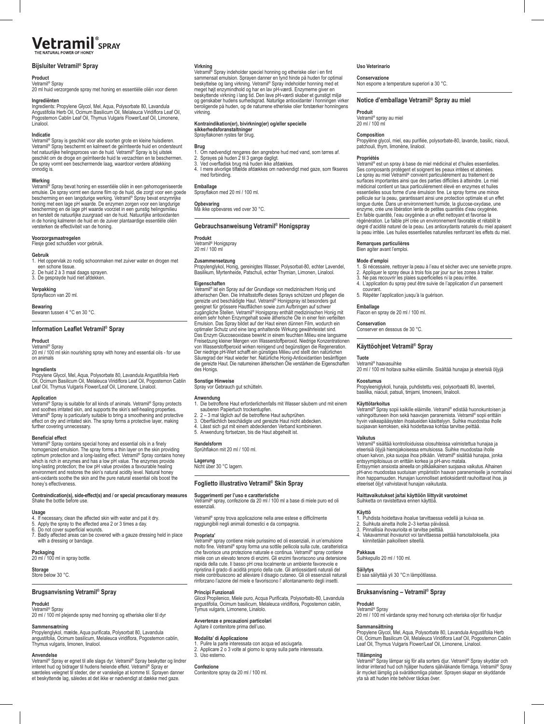# **Vetramil**<sup>*s*</sup><sub>SPRAY</sub>

## **Bijsluiter Vetramil® Spray**

### **Product**

Vetramil® Spray<br>20 ml huid verzorgende spray met honing en essentiële oliën voor dieren

### **Ingrediënten**

Ingredients: Propylene Glycol, Mel, Aqua, Polysorbate 80, Lavandula<br>Angustifolia Herb Oil, Ocimum Basilicum Oil, Melaleuca Viridiflora Leaf Oil,<br>Pogostemon Cablin Leaf Oil, Thymus Vulgaris Flower/Leaf Oil, Limonene, Linalool.

### **Indicatie**

Vetramil® Spray is geschikt voor alle soorten grote en kleine huisdieren. Vetramil® Spray beschermt en kalmeert de geïrriteerde huid en ondersteunt<br>het natuurlijke helingsproces van de huid. Vetramil® Spray is bij uitstek geschikt om de droge en geïrriteerde huid te verzachten en te beschermen. De spray vormt een beschermende laag, waardoor verdere afdekking onnodig is.

**Werking**<br>Vetramil® Spray bevat honing en essentiële oliën in een gehomogeniseerde emulsie. De spray vormt een dunne film op de huid, die zorgt voor een goede bescherming en een langdurige werking. Vetramil® Spray bevat enzymrijke honing met een lage pH waarde. De enzymen zorgen voor een langdurige<br>bescherming en de lage pH waarde voorziet in een gunstig helingsmilieu<br>en herstelt de natuurlijke zuurgraad van de huid. Natuurlijke antioxidanten<br>in de

**Voorzorgsmaatregelen** Flesje goed schudden voor gebruik.

### **Gebruik**

1. Het oppervlak zo nodig schoonmaken met zuiver water en drogen met een schone tissue. 2. De huid 2 à 3 maal daags sprayen.

3. De gesprayde huid niet afdekken.

**Verpakking** Sprayflacon van 20 ml.

**Bewaring** Bewaren tussen 4 °C en 30 °C.

### **Product**

20 ml / 100 ml skin nourishing spray with honey and essential oils - for use on animals

### **Ingredients**

Propylene Glycol, Mel, Aqua, Polysorbate 80, Lavandula Angustifolia Herb<br>Oil, Ocimum Basilicum Oil, Melaleuca Viridiflora Leaf Oil, Pogostemon Cablin<br>Leaf Oil, Thymus Vulgaris Flower/Leaf Oil, Limonene, Linalool.

### **Application**

Vetramil® Spray is suitable for all kinds of animals. Vetramil® Spray protects and soothes irritated skin, and supports the skin's self-healing properties.<br>Vetramil<sup>e</sup> Spray is particularly suitable to bring a smoothening and protective<br>effect on dry and irritated skin. The spray forms a protective l further covering unnecessary

### **Beneficial effect**

Vetramil® Spray contains special honey and essential oils in a finely homogenized emulsion. The spray forms a thin layer on the skin providing<br>optimum protection and a long-lasting effect. Vetramil® Spray contains honey<br>which is rich in enzymes and has a low pH value. The enzymes provide long-lasting protection; the low pH value provides a favourable healing environment and restores the skin's natural acidity level. Natural honey anti-oxidants soothe the skin and the pure natural essential oils boost the honey's effectiveness.

### **Contraindication(s), side-effect(s) and / or special precautionary measures** Shake the bottle before use.

### **Usage**

- 
- 4. If necessary, clean the affected skin with water and pat it dry. 5. Apply the spray to the affected area 2 or 3 times a day. 6. Do not cover superficial wounds.
- 7. Badly affected areas can be covered with a gauze dressing held in place with a dressing or bandage

**Packaging** 20 ml / 100 ml in spray bottle.

**Storage** Store below 30 °C.

## **Brugsanvisning Vetramil® Spray**

Thymus vulgaris, limonen, linalool.

### **Produkt**

Vetramil® Spray 20 ml / 100 ml plejende spray med honning og etheriske olier til dyr **Sammensætning** Propylenglykol, mælde, Aqua purificata, Polysorbat 80, Lavandula

angustifolia, Ocimum basilicum, Melaleuca viridiflora, Pogostemon cablin,

**Anvendelse**<br>Vertamil<sup>is</sup> Spray er egnet til alle slags dyr. Vetramil® Spray beskytter og lindrer<br>irriteret hud og bidrager til hudens helende effekt. Vetramil® Spray er<br>særdeles velegnet til steder, der er vanskelige at

### **Avvertenze e precauzioni particolari** enitore prima dell'uso.

**Principi Funzionali**

Tymus vulgaris, Limonene, Linalolo.

**Modalita' di Applicazione**<br>1. Pulire la parte interessata con acqua ed asciugarla.<br>2. Applicare 2 o 3 volte al giorno lo spray sulla parte interessata. 3. Uso esterno.

**Confezione** Contenitore spray da 20 ml / 100 ml.

## **Uso Veterinario**

**Virkning**<br>Vetramil® Spray indeholder speciel honning og etheriske olier i en fint sammensat emulsion. Sprayen danner en tynd hinde på huden for optimal

**Kontraindikation(er), bivirkning(er) og/eller specielle** 

**Gebrauchsanweisung Vetramil® Honigspray**

virkning.

**sikkerhedsforanstaltninger** Sprayflakonen rystes før brug.

**Emballage**  Sprayflakon med 20 ml / 100 ml.

**Opbevaring** Må ikke opbevares ved over 30 °C.

med forbinding.

**Produkt** Vetramil® Honigspray 20 ml / 100 ml **Zusammensetzung**

**Eigenschaften**

die gereizte<br>des Honigs

**Sonstige Hinweise** Spray vor Gebrauch gut schütteln.

**Handelsform** Sprühflakon mit 20 ml / 100 ml.

**Lagerung** Nicht über 30 °C lagern.

essenziali.

**Proprieta'**

beskyttelse og lang virkning. Vetramil® Spray indeholder honning med et<br>meget højt enzymindhold og har en lav pH-værdi. Enzymerne giver en<br>beskyttende virkning i lang tid. Den lave pH-værdi skaber et gunstigt miljø<br>og gen

**Brug**  1. Om nødvendigt rengøres den angrebne hud med vand, som tørres af. 2. Sprayes på huden 2 til 3 gange dagligt. 3. Ved overfladisk brug må huden ikke afdækkes. 4. I mere alvorlige tilfælde afdækkes om nødvendigt med gaze, som fikseres

Propylenglykol, Honig, gereinigtes Wasser, Polysorbat-80, echter Lavendel, Basilikum, Myrtenheide, Patschuli, echter Thymian, Limonen, Linalool.

gereizte und beschädigte Haut. Vetramil® Honigspray ist besonders gut<br>geeignet für grössere Hautflächen sowie zum Aufbringen auf schwer<br>zugängliche Stellen. Vetramil® Honigspray enthält medizinischen Honig mit<br>einem sehr h

optimaler Schutz und eine lang anhaltende Wirkung gewährleistet sind.<br>Das Enzym Glucoseoxidase bewirkt in einem feuchten Milieu eine langsame<br>Freisetzung kleiner Mengen von Wasserstoffperoxid. Niedrige Konzentrationen

von Wasserstoffperoxid wirken reinigend und begünstigen die Regeneration.<br>Der niedrige pH-Wert schafft ein günstiges Milieu und stellt den natürlichen<br>Säuregrad der Haut wieder her. Natürliche Honig-Antioxidantien besänfti

**Anwendung** 1. Die betroffene Haut erforderlichenfalls mit Wasser säubern und mit einem

sauberen Papiertuch trockentupfen. 2. 2 – 3 mal täglich auf die betroffene Haut aufsprühen. 3. Oberflächlich beschädigte und gereizte Haut nicht abdecken. 4. Lässt sich gut mit einem abdeckenden Verband kombinieren. 5. Anwendung fortsetzen, bis die Haut abgeheilt ist.

**Foglietto illustrativo Vetramil® Skin Spray** 

Vetramil® spray, confezione da 20 ml / 100 ml a base di miele puro ed oli

Vetramil® spray contiene miele purissimo ed oli essenziali, in un'emulsione molto fine. Vetramil® spray forma una sottile pellicola sulla cute, caratteristica che favorisce una protezione naturale e continua. Vetramil® spray contiene miele con un elevato tenore di enzimi. Gli enzimi favoriscono una detersione rapida della cute. Il basso pH crea localmente un ambiente favorevole e ripristina il grado di acidità proprio della cute. Gli antiossidanti naturali del miele contribuiscono ad alleviare il disagio cutaneo. Gli oli essenziali naturali rinforzano l'azione del miele e favoriscono l' allontanamento degli insetti.

Glicol Propilenico, Miele puro, Acqua Purificata, Polysorbato-80, Lavandula angustifolia, Ocimum basilicum, Melaleuca viridiflora, Pogostemon cablin,

Vetramil® spray trova applicazione nella aree estese e difficilmente raggiungibili negli animali domestici e da compagnia.

**Suggerimenti per l'uso e caratteristiche** 

Vetramil® ist ein Spray auf der Grundlage von medizinischem Honig und ätherischen Ölen. Die Inhaltsstoffe dieses Sprays schützen und pflegen die **Conservazione** Non esporre a temperature superiori a 30 °C.

## **Notice d'emballage Vetramil® Spray au miel**

**Produit** Vetramil® spray au miel 20 ml / 100 ml

**Composition**<br>Propylène glycol, miel, eau purifiée, polysorbate-80, lavande, basilic, niaouli,<br>patchouli, thym, limonène, linalool.

### **Propriétés**

Vetramil® est un spray à base de miel médicinal et d'huiles essentielles. Ses composants protègent et soignent les peaux irritées et abimées.<br>Le spray au miel Vetramil® convient particulièrement au traitement de<br>surfaces importantes ainsi que des parties difficiles à atteindre. Le miel médicinal contient un taux particulièrement élevé en enzymes et huiles essentielles sous forme d'une émulsion fine. Le spray forme une mince<br>pellicule sur la peau, garantissant ainsi une protection optimale et un effet<br>longue durée. Dans un environnement humide, la glucose-oxydase, une<br>enzyme régénération. Le faible pH crée un environnement favorable et rétablit le degré d'acidité naturel de la peau. Les antioxydants naturels du miel apaisent<br>la peau irritée. Les huiles essentielles naturelles renforcent les effets du miel.

### **Remarques particulières** Bien agiter avant l'emploi.

## **Mode d'emploi**

- 1. Si nécessaire, nettoyer la peau à l'eau et sécher avec une serviette propre.
- 2. Appliquer le spray deux à trois fois par jour sur les zones à traiter. 3. Ne pas recouvrir les plaies superficielles ni la peau irritée. 4. L'application du spray peut être suivie de l'application d'un pansement
- couvrant.
- 5. Répéter l'application jusqu'à la guérison.

### **Emballage** Flacon en spray de 20 ml / 100 ml.

**Conservation**

Conserver en dessous de 30 °C.

## **Käyttöohjeet Vetramil® Spray**

### **Tuote**

Vetramil® haavasuihke<br>20 ml / 100 ml hoitava suihke eläimille. Sisältää hunajaa ja eteerisiä öljyjä

**Koostumus** Propyleeniglykoli, hunaja, puhdistettu vesi, polysorbaatti 80, laventeli, basilika, niaouli, patsuli, timjami, limoneeni, linalooli.

## **Käyttötarkoitus**

Vetramil® Spray sopii kaikille eläimille. Vetramil® edistää huonokuntoisen ja<br>vahingoittuneen ihon sekä haavojen paranemista. Vetramil® sopii erittäin hyvin vaikeapääsyisten ihoalueiden käsittelyyn. Suihke muodostaa iholle suojaavan kerroksen, eikä hoidettavaa kohtaa tarvitse peittää.

**Vaikutus**<br>Vetramil® sisältää kontrolloiduissa olosuhteissa valmistettua hunajaa ja eteerisiä öljyjä hienojakoisessa emulsiossa. Suihke muodostaa iholle ohuen kalvon, joka suojaa ihoa pitkään. Vetramil® sisältää hunajaa, jonka entsyymipitoisuus on erittäin korkea ja pH-arvo matala. Entsyymien ansiosta aineella on pitkäaikainen suojaava vaikutus. Alhainen pH-arvo muodostaa suotuisan ympäristön haavan paranemiselle ja normalisoi ihon happamuuden. Hunajan luonnolliset antioksidantit rauhoittavat ihoa, ja eteeriset öljyt vahvistavat hunajan vaikutusta.

**Haittavaikutukset ja/tai käyttöön liittyvät varotoimet** Suihketta on ravistettava ennen käyttöä.

### **Käyttö**

- 1. Puhdista hoidettava ihoalue tarvittaessa vedellä ja kuivaa se. 2. Suihkuta ainetta iholle 2–3 kertaa päivässä.
- 3. Pinnallisia ihovaurioita ei tarvitse peittää.
- 4. Vakavammat ihovauriot voi tarvittaessa peittää harsotaitoksella, joka kiinnitetään paikoilleen siteellä.

**Pakkaus** Suihkepullo 20 ml / 100 ml.

**Säilytys** Ei saa säilyttää yli 30 °C:n lämpötilassa.

## **Bruksanvisning – Vetramil® Spray**

## **Produkt**

Vetramil® Spray<br>20 ml / 100 ml vårdande spray med honung och eteriska oljor för husdjuı

**Sammansättning**<br>Propylene Glycol, Mel, Aqua, Polysorbate 80, Lavandula Angustifolia Herb<br>Oil, Ocimum Basilicum Oil, Melaleuca Viridiflora Leaf Oil, Pogostemon Cablin Leaf Oil, Thymus Vulgaris Flower/Leaf Oil, Limonene, Linalool.

**Tillämpning**<br>Vetramil<sup>®</sup> Spray lämpar sig för alla sorters djur. Vetramil® Spray skyddar och<br>lindrar irriterad hud och hjälper hudens självläkande förmåga. Vetramil® Spray<br>är mycket lämplig på svåråtkomliga platser. Spra

# **Information Leaflet Vetramil® Spray**

## Vetramil® Spray